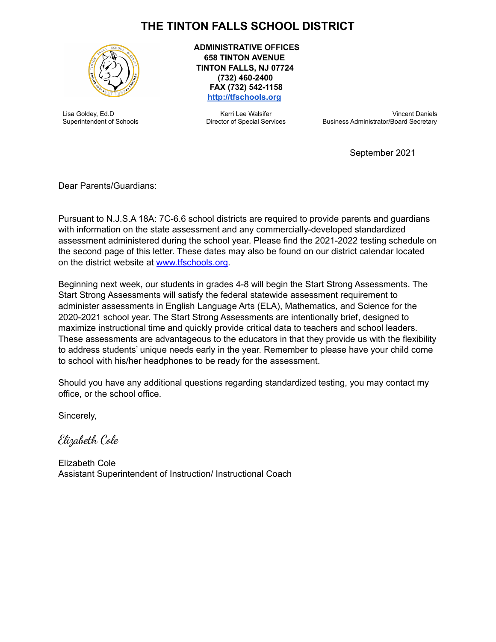## **THE TINTON FALLS SCHOOL DISTRICT**



Lisa Goldey, Ed.D Superintendent of Schools **ADMINISTRATIVE OFFICES 658 TINTON AVENUE TINTON FALLS, NJ 07724 (732) 460-2400 FAX (732) 542-1158 <http://tfschools.org>**

> Kerri Lee Walsifer Director of Special Services

Vincent Daniels Business Administrator/Board Secretary

September 2021

Dear Parents/Guardians:

Pursuant to N.J.S.A 18A: 7C-6.6 school districts are required to provide parents and guardians with information on the state assessment and any commercially-developed standardized assessment administered during the school year. Please find the 2021-2022 testing schedule on the second page of this letter. These dates may also be found on our district calendar located on the district website at [www.tfschools.org.](http://www.tfschools.org)

Beginning next week, our students in grades 4-8 will begin the Start Strong Assessments. The Start Strong Assessments will satisfy the federal statewide assessment requirement to administer assessments in English Language Arts (ELA), Mathematics, and Science for the 2020-2021 school year. The Start Strong Assessments are intentionally brief, designed to maximize instructional time and quickly provide critical data to teachers and school leaders. These assessments are advantageous to the educators in that they provide us with the flexibility to address students' unique needs early in the year. Remember to please have your child come to school with his/her headphones to be ready for the assessment.

Should you have any additional questions regarding standardized testing, you may contact my office, or the school office.

Sincerely,

Elizabeth Cole

Elizabeth Cole Assistant Superintendent of Instruction/ Instructional Coach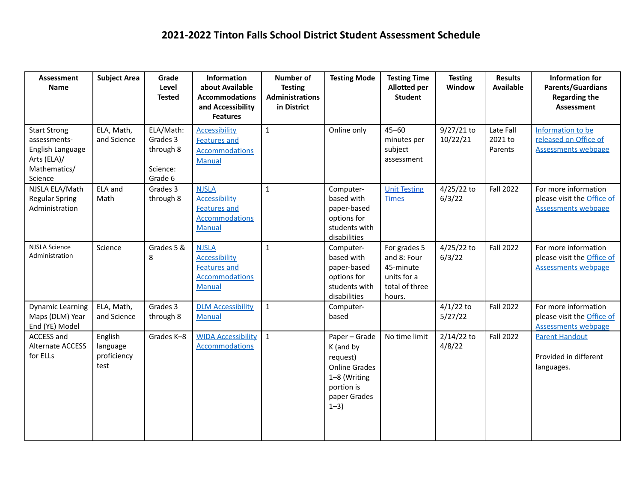| Assessment<br><b>Name</b>                                                                         | <b>Subject Area</b>                        | Grade<br>Level<br><b>Tested</b>                           | Information<br>about Available<br><b>Accommodations</b><br>and Accessibility<br><b>Features</b>       | Number of<br><b>Testing</b><br><b>Administrations</b><br>in District | <b>Testing Mode</b>                                                                                                     | <b>Testing Time</b><br><b>Allotted per</b><br><b>Student</b>                        | <b>Testing</b><br>Window | <b>Results</b><br><b>Available</b> | <b>Information for</b><br><b>Parents/Guardians</b><br><b>Regarding the</b><br><b>Assessment</b> |
|---------------------------------------------------------------------------------------------------|--------------------------------------------|-----------------------------------------------------------|-------------------------------------------------------------------------------------------------------|----------------------------------------------------------------------|-------------------------------------------------------------------------------------------------------------------------|-------------------------------------------------------------------------------------|--------------------------|------------------------------------|-------------------------------------------------------------------------------------------------|
| <b>Start Strong</b><br>assessments-<br>English Language<br>Arts (ELA)/<br>Mathematics/<br>Science | ELA, Math,<br>and Science                  | ELA/Math:<br>Grades 3<br>through 8<br>Science:<br>Grade 6 | <b>Accessibility</b><br><b>Features and</b><br><b>Accommodations</b><br><b>Manual</b>                 | $\mathbf{1}$                                                         | Online only                                                                                                             | $45 - 60$<br>minutes per<br>subject<br>assessment                                   | 9/27/21 to<br>10/22/21   | Late Fall<br>2021 to<br>Parents    | Information to be<br>released on Office of<br><b>Assessments webpage</b>                        |
| NJSLA ELA/Math<br><b>Regular Spring</b><br>Administration                                         | ELA and<br>Math                            | Grades 3<br>through 8                                     | <b>NJSLA</b><br><b>Accessibility</b><br><b>Features and</b><br><b>Accommodations</b><br>Manual        | $\mathbf{1}$                                                         | Computer-<br>based with<br>paper-based<br>options for<br>students with<br>disabilities                                  | <b>Unit Testing</b><br><b>Times</b>                                                 | 4/25/22 to<br>6/3/22     | <b>Fall 2022</b>                   | For more information<br>please visit the <b>Office of</b><br><b>Assessments webpage</b>         |
| <b>NJSLA Science</b><br>Administration                                                            | Science                                    | Grades 5 &<br>8                                           | <b>NJSLA</b><br><b>Accessibility</b><br><b>Features and</b><br><b>Accommodations</b><br><b>Manual</b> | $\mathbf{1}$                                                         | Computer-<br>based with<br>paper-based<br>options for<br>students with<br>disabilities                                  | For grades 5<br>and 8: Four<br>45-minute<br>units for a<br>total of three<br>hours. | 4/25/22 to<br>6/3/22     | <b>Fall 2022</b>                   | For more information<br>please visit the <b>Office of</b><br><b>Assessments webpage</b>         |
| <b>Dynamic Learning</b><br>Maps (DLM) Year<br>End (YE) Model                                      | ELA, Math,<br>and Science                  | Grades 3<br>through 8                                     | <b>DLM Accessibility</b><br><b>Manual</b>                                                             | $\mathbf{1}$                                                         | Computer-<br>based                                                                                                      |                                                                                     | $4/1/22$ to<br>5/27/22   | <b>Fall 2022</b>                   | For more information<br>please visit the Office of<br><b>Assessments webpage</b>                |
| <b>ACCESS and</b><br><b>Alternate ACCESS</b><br>for ELLs                                          | English<br>language<br>proficiency<br>test | Grades K-8                                                | <b>WIDA Accessibility</b><br><b>Accommodations</b>                                                    | $\mathbf{1}$                                                         | Paper - Grade<br>K (and by<br>request)<br><b>Online Grades</b><br>1-8 (Writing<br>portion is<br>paper Grades<br>$1 - 3$ | No time limit                                                                       | $2/14/22$ to<br>4/8/22   | <b>Fall 2022</b>                   | <b>Parent Handout</b><br>Provided in different<br>languages.                                    |